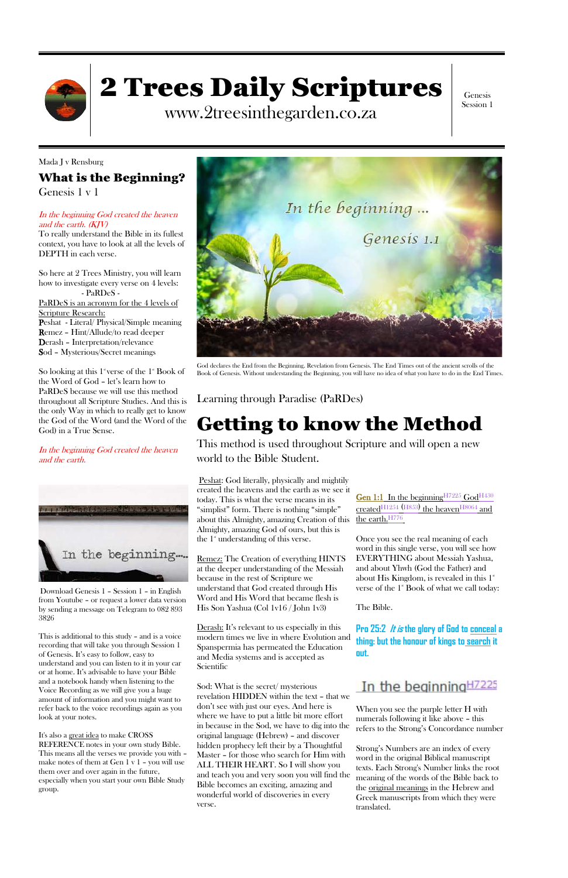

# 2 Trees Daily Scriptures

www.2treesinthegarden.co.za

Genesis Session 1

Mada J v Rensburg What is the Beginning? Genesis 1 v 1

### In the beginning God created the heaven and the earth. (KJV)

To really understand the Bible in its fullest context, you have to look at all the levels of DEPTH in each verse.

So looking at this  $1^{\circ}$  verse of the  $1^{\circ}$  Book of the Word of God – let's learn how to PaRDeS because we will use this method throughout all Scripture Studies. And this is the only Way in which to really get to know the God of the Word (and the Word of the God) in a True Sense.

So here at 2 Trees Ministry, you will learn how to investigate every verse on 4 levels: - PaRDeS - PaRDeS is an acronym for the 4 levels of Scripture Research: Peshat - Literal/ Physical/Simple meaning Remez – Hint/Allude/to read deeper Derash – Interpretation/relevance Sod – Mysterious/Secret meanings

In the beginning God created the heaven and the earth.



God declares the End from the Beginning. Revelation from Genesis. The End Times out of the ancient scrolls of the Book of Genesis. Without understanding the Beginning, you will have no idea of what you have to do in the End Times.

Learning through Paradise (PaRDes)

## Getting to know the Method

This method is used throughout Scripture and will open a new world to the Bible Student.

Peshat: God literally, physically and mightily created the heavens and the earth as we see it today. This is what the verse means in its "simplist" form. There is nothing "simple" about this Almighty, amazing Creation of this the earth. H776 Almighty, amazing God of ours, but this is the  $1^*$  understanding of this verse.

Once you see the real meaning of each word in this single verse, you will see how EVERYTHING about Messiah Yashua, and about Yhwh (God the Father) and about His Kingdom, is revealed in this  $1^{\mathrm{st}}$ verse of the  $1$ <sup>st</sup> Book of what we call today:

Remez: The Creation of everything HINTS at the deeper understanding of the Messiah because in the rest of Scripture we understand that God created through His Word and His Word that became flesh is His Son Yashua (Col 1v16 / John 1v3)

Derash: It's relevant to us especially in this modern times we live in where Evolution and Spanspermia has permeated the Education and Media systems and is accepted as Scientific

Gen 1:1 In the beginning<sup>H7225</sup> God<sup>H430</sup>  $\rm{created^{H1254}}$  (H853) the heaven  $\rm{H8064}$  and

Sod: What is the secret/ mysterious revelation HIDDEN within the text – that we don't see with just our eyes. And here is where we have to put a little bit more effort in because in the Sod, we have to dig into the original language (Hebrew) – and discover hidden prophecy left their by a Thoughtful Master – for those who search for Him with ALL THEIR HEART. So I will show you and teach you and very soon you will find the Bible becomes an exciting, amazing and wonderful world of discoveries in every verse.

The Bible.

**Pro 25:2 It is the glory of God to conceal a thing: but the honour of kings to search it** 



## In the beginning<sup>H7225</sup>

When you see the purple letter H with numerals following it like above – this refers to the Strong's Concordance number

Strong's Numbers are an index of every word in the original Biblical manuscript texts. Each Strong's Number links the root meaning of the words of the Bible back to the original meanings in the Hebrew and Greek manuscripts from which they were translated.

Download Genesis 1 – Session 1 – in English from Youtube – or request a lower data version by sending a message on Telegram to 082 893 3826

This is additional to this study – and is a voice recording that will take you through Session 1 of Genesis. It's easy to follow, easy to understand and you can listen to it in your car or at home. It's advisable to have your Bible and a notebook handy when listening to the Voice Recording as we will give you a huge amount of information and you might want to refer back to the voice recordings again as you look at your notes.



It's also a great idea to make CROSS REFERENCE notes in your own study Bible. This means all the verses we provide you with – make notes of them at Gen 1 v 1 – you will use them over and over again in the future, especially when you start your own Bible Study group.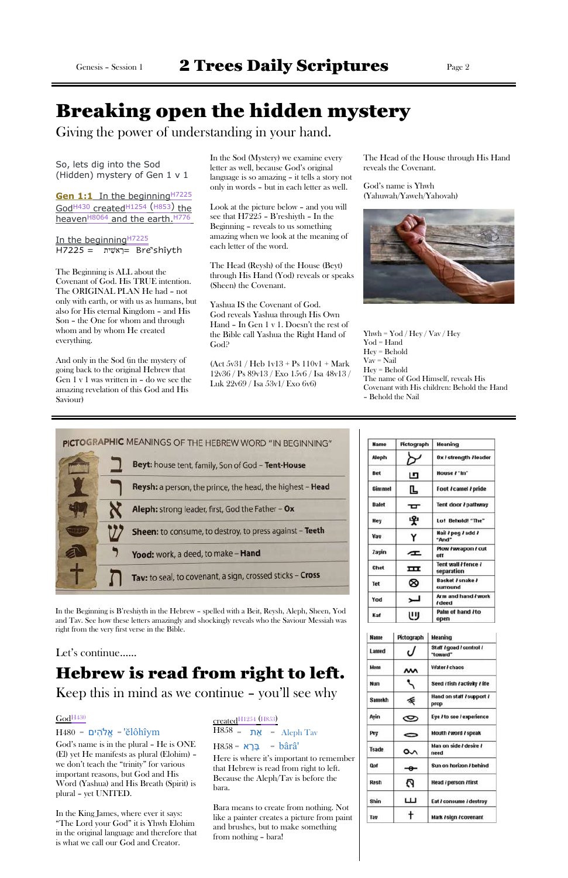## Breaking open the hidden mystery

Giving the power of understanding in your hand.

So, lets dig into the Sod (Hidden) mystery of Gen 1 v 1

**Gen 1:1** In the beginning<sup>H7225</sup> God<sup>H430</sup> created<sup>H1254</sup> (H853) the heaven<sup>H8064</sup> and the earth.<sup>H776</sup>

In the beginning<sup>H7225</sup>  $H7225 = 25$ ית = Bre'shîyth

The Beginning is ALL about the Covenant of God. His TRUE intention. The ORIGINAL PLAN He had – not only with earth, or with us as humans, but also for His eternal Kingdom – and His Son – the One for whom and through whom and by whom He created everything.

And only in the Sod (in the mystery of going back to the original Hebrew that Gen 1 v 1 was written in – do we see the amazing revelation of this God and His Saviour)

In the Sod (Mystery) we examine every letter as well, because God's original language is so amazing – it tells a story not only in words – but in each letter as well.

> Yhwh =  $\text{Yod}/\text{Hey}/\text{Vav}/\text{Hey}$ Yod = Hand Hey = Behold Vav = Nail Hey = Behold The name of God Himself, reveals His Covenant with His children: Behold the Hand – Behold the Nail

| PICTOGRAPHIC MEANINGS OF THE HEBREW WORD "IN BEGINNING"   |
|-----------------------------------------------------------|
| Beyt: house tent, family, Son of God - Tent-House         |
| Reysh: a person, the prince, the head, the highest - Head |
| Aleph: strong leader, first, God the Father - Ox          |
| Sheen: to consume, to destroy, to press against - Teeth   |
| Yood: work, a deed, to make - Hand                        |
| Tav: to seal, to covenant, a sign, crossed sticks - Cross |

Look at the picture below – and you will see that H7225 – B'reshiyth – In the Beginning – reveals to us something amazing when we look at the meaning of each letter of the word.

The Head (Reysh) of the House (Beyt) through His Hand (Yod) reveals or speaks (Sheen) the Covenant.

Yashua IS the Covenant of God. God reveals Yashua through His Own Hand – In Gen 1 v 1. Doesn't the rest of the Bible call Yashua the Right Hand of God?

(Act 5v31 / Heb 1v13 + Ps 110v1 + Mark 12v36 / Ps 89v13 / Exo 15v6 / Isa 48v13 / Luk 22v69 / Isa 53v1/ Exo 6v6)

The Head of the House through His Hand reveals the Covenant.

God's name is Yhwh (Yahuwah/Yaweh/Yahovah)



In the Beginning is B'reshiyth in the Hebrew – spelled with a Beit, Reysh, Aleph, Sheen, Yod and Tav. See how these letters amazingly and shockingly reveals who the Saviour Messiah was right from the very first verse in the Bible.

| <b>Name</b>   | Pictograph | Meaning                          |
|---------------|------------|----------------------------------|
| Aleph         |            | Ox / strength / leader           |
| Bet           | ப          | House /"In"                      |
| <b>Gimmel</b> | Ŀ          | Foot / camel / pride             |
| <b>Dalet</b>  | σ          | Tent door / pathway              |
| Hey           | 中          | Lo! Behold! "The"                |
| Vau           | Υ          | Nail / peg / add /<br>"And"      |
| Zayin         | c          | Plow / weapon / cut<br>ntt       |
| Chet          | ᇤ          | Tent wall Hence I<br>separation  |
| <b>Tet</b>    | ⊗          | Basket / snake /<br>surround     |
| Yod           |            | Arm and hand / work<br>/ deed    |
| Kaf           |            | Palm of hand <i>I</i> to<br>open |

| <b>Name</b>   | Pictograph | <b>Meaning</b>                       |
|---------------|------------|--------------------------------------|
| Lamed         | ι I        | Staff / goad / control /<br>"toward" |
| Menn          | м          | Water / chaos                        |
| Nun           |            | Seed / fish / activity / life        |
| <b>Samekh</b> | 委          | Hand on staff / support /<br>prop    |
| Ayin          | ✑          | Eye / to see / experience            |
| Pey           | 0          | Mouth / word / speak                 |
| <b>Tsade</b>  | ᡐ          | Man on side / desire /<br>need       |
| <b>Dof</b>    | ⊸          | Sun on horizon / behind              |
| Resh          | A          | Head / person / first                |
| Shin          | ш          | Eat / consume / destroy              |
| Tav           |            | Mark / sign / covenant               |

### Let's continue……

## Hebrew is read from right to left.

Keep this in mind as we continue – you 'll see why

### God<sup>H430</sup>

 $H480 = Y^2 + 26$ וֹ = אֱלֹהִים

God's name is in the plural – He is ONE (El) yet He manifests as plural (Elohim) – we don't teach the "trinity" for various important reasons, but God and His Word (Yashua) and His Breath (Spirit) is plural – yet UNITED.

In the King James, where ever it says: "The Lord your God" it is Yhwh Elohim in the original language and therefore that is what we call our God and Creator.

### $\frac{\text{created}}{\text{H1254}}$  (H853)  $\overline{H858}$  = את = Aleph Tav

 $H858 = 2F$ בְּרָא =  $\hat{a}r\hat{a}$ '

Here is where it's important to remember that Hebrew is read from right to left. Because the Aleph/Tav is before the bara.

Bara means to create from nothing. Not like a painter creates a picture from paint and brushes, but to make something from nothing – bara!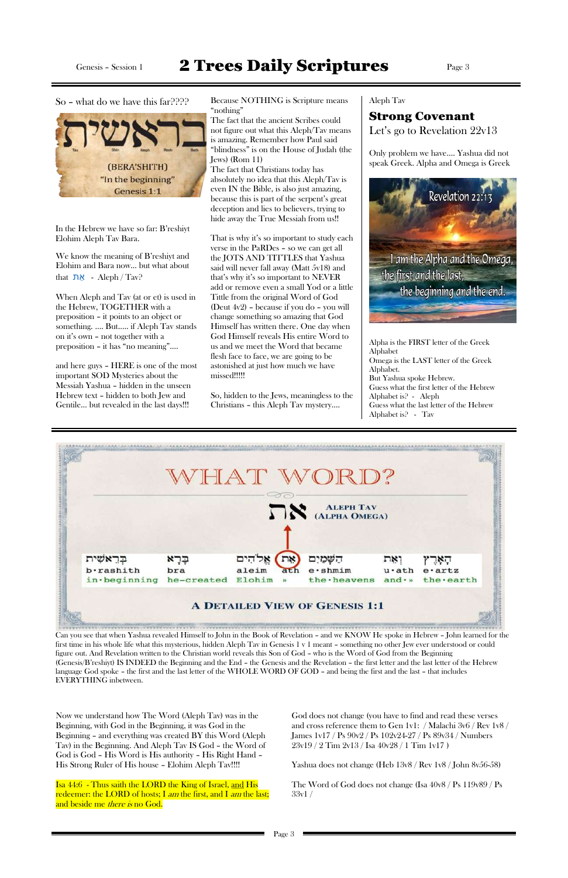So – what do we have this far???? Because NOTHING is Scripture means "nothing"

> The fact that the ancient Scribes could not figure out what this Aleph/Tav means is amazing. Remember how Paul said "blindness" is on the House of Judah (the Jews) (Rom 11)

The fact that Christians today has absolutely no idea that this Aleph/Tav is even IN the Bible, is also just amazing, because this is part of the serpent's great deception and lies to believers, trying to hide away the True Messiah from us!!

We know the meaning of B'reshiyt and Elohim and Bara now… but what about that  $\mathbf{N}$  - Aleph / Tav?

That is why it's so important to study each verse in the PaRDes – so we can get all the JOTS AND TITTLES that Yashua said will never fall away (Matt 5v18) and that's why it's so important to NEVER add or remove even a small Yod or a little Tittle from the original Word of God (Deut 4v2) – because if you do – you will change something so amazing that God Himself has written there. One day when God Himself reveals His entire Word to us and we meet the Word that became flesh face to face, we are going to be astonished at just how much we have missed!!!!!

So, hidden to the Jews, meaningless to the Christians – this Aleph Tav mystery….

### Aleph Tav

## Strong Covenant

Let's go to Revelation 22v13

Only problem we have…. Yashua did not speak Greek. Alpha and Omega is Greek



## Genesis - Session 1 2 Trees Daily Scriptures Page 3



In the Hebrew we have so far: B'reshiyt Elohim Aleph Tav Bara.

Isa 44:6 - Thus saith the LORD the King of Israel, and His redeemer: the LORD of hosts; I *am* the first, and I *am* the last; and beside me *there is* no God.

When Aleph and Tav (at or et) is used in the Hebrew, TOGETHER with a preposition – it points to an object or something. …. But….. if Aleph Tav stands on it's own – not together with a preposition – it has "no meaning"….

and here guys – HERE is one of the most important SOD Mysteries about the Messiah Yashua – hidden in the unseen Hebrew text – hidden to both Jew and Gentile… but revealed in the last days!!!

Alpha is the FIRST letter of the Greek Alphabet Omega is the LAST letter of the Greek Alphabet. But Yashua spoke Hebrew. Guess what the first letter of the Hebrew Alphabet is? - Aleph Guess what the last letter of the Hebrew Alphabet is? - Tav



Can you see that when Yashua revealed Himself to John in the Book of Revelation – and we KNOW He spoke in Hebrew – John learned for the first time in his whole life what this mysterious, hidden Aleph Tav in Genesis 1 v 1 meant – something no other Jew ever understood or could

figure out. And Revelation written to the Christian world reveals this Son of God – who is the Word of God from the Beginning (Genesis/B'reshiyt) IS INDEED the Beginning and the End – the Genesis and the Revelation – the first letter and the last letter of the Hebrew language God spoke – the first and the last letter of the WHOLE WORD OF GOD – and being the first and the last – that includes EVERYTHING inbetween.

Now we understand how The Word (Aleph Tav) was in the Beginning, with God in the Beginning, it was God in the Beginning – and everything was created BY this Word (Aleph Tav) in the Beginning. And Aleph Tav IS God – the Word of God is God – His Word is His authority – His Right Hand – His Strong Ruler of His house – Elohim Aleph Tav!!!!

God does not change (you have to find and read these verses and cross reference them to Gen 1v1: / Malachi 3v6 / Rev 1v8 / James 1v17 / Ps 90v2 / Ps 102v24-27 / Ps 89v34 / Numbers 23v19 / 2 Tim 2v13 / Isa 40v28 / 1 Tim 1v17 )

Yashua does not change (Heb 13v8 / Rev 1v8 / John 8v56-58)

The Word of God does not change (Isa 40v8 / Ps 119v89 / Ps 33v1 /

Page 3